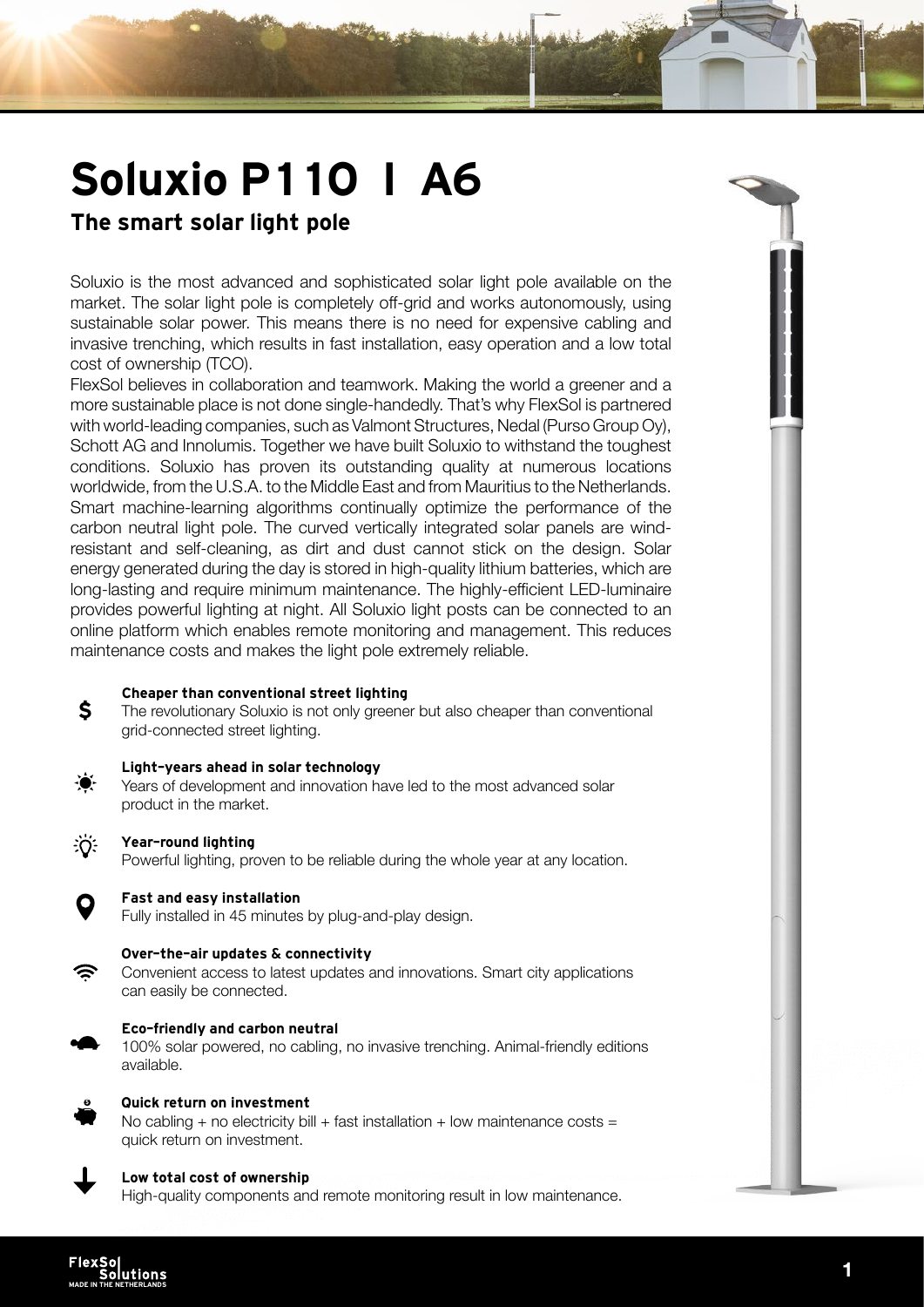# Soluxio P110 I A6

## The smart solar light pole

Soluxio is the most advanced and sophisticated solar light pole available on the market. The solar light pole is completely off-grid and works autonomously, using sustainable solar power. This means there is no need for expensive cabling and invasive trenching, which results in fast installation, easy operation and a low total cost of ownership (TCO).

FlexSol believes in collaboration and teamwork. Making the world a greener and a more sustainable place is not done single-handedly. That's why FlexSol is partnered with world-leading companies, such as Valmont Structures, Nedal (Purso Group Oy), Schott AG and Innolumis. Together we have built Soluxio to withstand the toughest conditions. Soluxio has proven its outstanding quality at numerous locations worldwide, from the U.S.A. to the Middle East and from Mauritius to the Netherlands. Smart machine-learning algorithms continually optimize the performance of the carbon neutral light pole. The curved vertically integrated solar panels are windresistant and self-cleaning, as dirt and dust cannot stick on the design. Solar energy generated during the day is stored in high-quality lithium batteries, which are long-lasting and require minimum maintenance. The highly-efficient LED-luminaire provides powerful lighting at night. All Soluxio light posts can be connected to an online platform which enables remote monitoring and management. This reduces maintenance costs and makes the light pole extremely reliable.

#### Cheaper than conventional street lighting

The revolutionary Soluxio is not only greener but also cheaper than conventional grid-connected street lighting.



\$

#### Light-years ahead in solar technology

Years of development and innovation have led to the most advanced solar product in the market.



#### Year-round lighting

Powerful lighting, proven to be reliable during the whole year at any location.



#### Fast and easy installation

Fully installed in 45 minutes by plug-and-play design.



#### Over-the-air updates & connectivity

Convenient access to latest updates and innovations. Smart city applications can easily be connected.



#### Eco-friendly and carbon neutral

100% solar powered, no cabling, no invasive trenching. Animal-friendly editions available.



#### Quick return on investment

No cabling + no electricity bill + fast installation + low maintenance costs = quick return on investment.



#### Low total cost of ownership

High-quality components and remote monitoring result in low maintenance.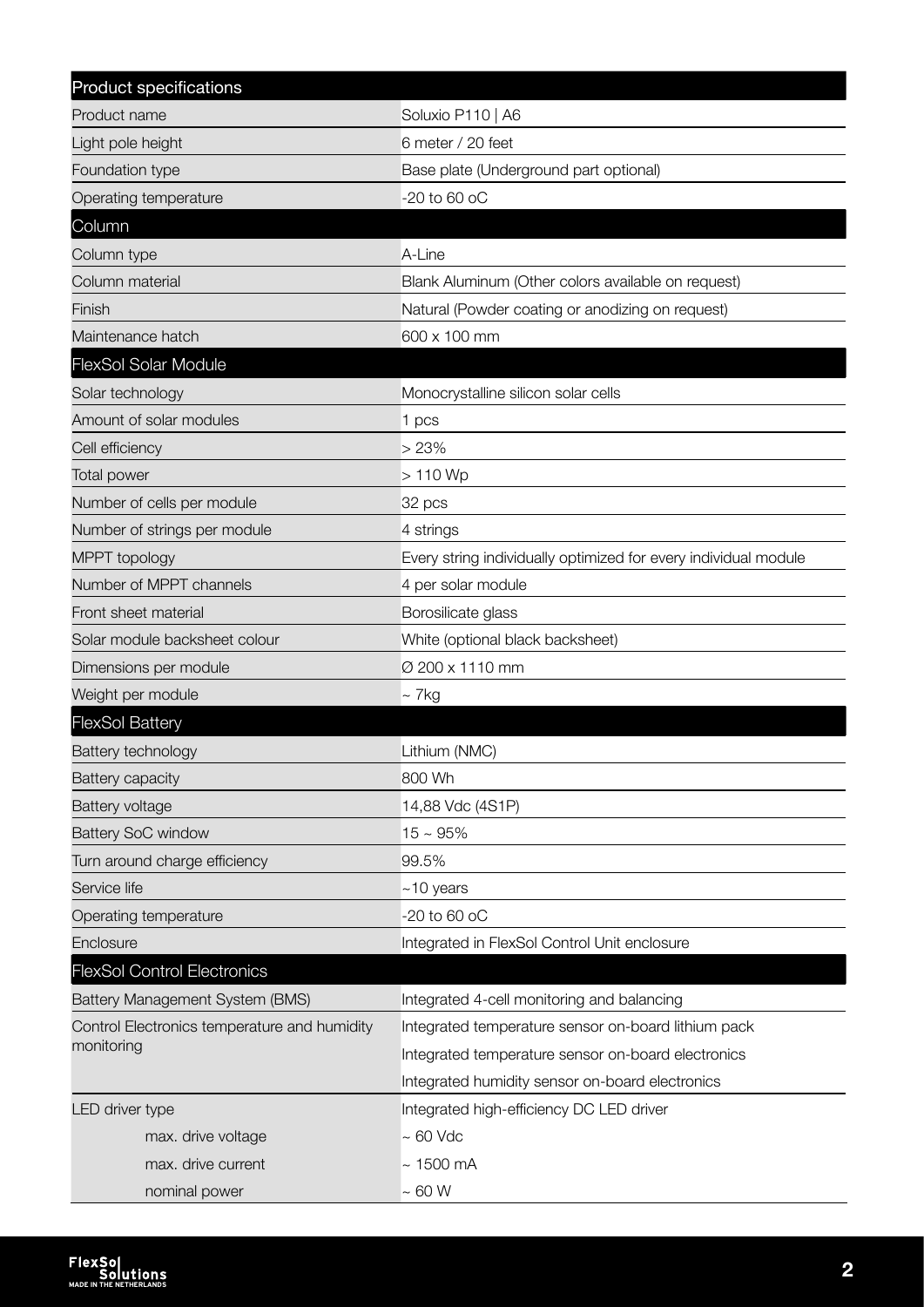| Product specifications                       |                                                                 |
|----------------------------------------------|-----------------------------------------------------------------|
| Product name                                 | Soluxio P110   A6                                               |
| Light pole height                            | 6 meter / 20 feet                                               |
| Foundation type                              | Base plate (Underground part optional)                          |
| Operating temperature                        | -20 to 60 oC                                                    |
| Column                                       |                                                                 |
| Column type                                  | A-Line                                                          |
| Column material                              | Blank Aluminum (Other colors available on request)              |
| Finish                                       | Natural (Powder coating or anodizing on request)                |
| Maintenance hatch                            | 600 x 100 mm                                                    |
| <b>FlexSol Solar Module</b>                  |                                                                 |
| Solar technology                             | Monocrystalline silicon solar cells                             |
| Amount of solar modules                      | 1 pcs                                                           |
| Cell efficiency                              | >23%                                                            |
| <b>Total power</b>                           | $>110$ Wp                                                       |
| Number of cells per module                   | 32 pcs                                                          |
| Number of strings per module                 | 4 strings                                                       |
| MPPT topology                                | Every string individually optimized for every individual module |
| Number of MPPT channels                      | 4 per solar module                                              |
| Front sheet material                         | Borosilicate glass                                              |
| Solar module backsheet colour                | White (optional black backsheet)                                |
| Dimensions per module                        | Ø 200 x 1110 mm                                                 |
| Weight per module                            | $\sim$ 7 kg                                                     |
| <b>FlexSol Battery</b>                       |                                                                 |
| Battery technology                           | Lithium (NMC)                                                   |
| Battery capacity                             | 800 Wh                                                          |
| Battery voltage                              | 14,88 Vdc (4S1P)                                                |
| <b>Battery SoC window</b>                    | $15 \sim 95\%$                                                  |
| Turn around charge efficiency                | 99.5%                                                           |
| Service life                                 | $~10$ years                                                     |
| Operating temperature                        | $-20$ to 60 oC                                                  |
| Enclosure                                    | Integrated in FlexSol Control Unit enclosure                    |
| <b>FlexSol Control Electronics</b>           |                                                                 |
| Battery Management System (BMS)              | Integrated 4-cell monitoring and balancing                      |
| Control Electronics temperature and humidity | Integrated temperature sensor on-board lithium pack             |
| monitoring                                   | Integrated temperature sensor on-board electronics              |
|                                              | Integrated humidity sensor on-board electronics                 |
| LED driver type                              | Integrated high-efficiency DC LED driver                        |
| max. drive voltage                           | $\sim 60$ Vdc                                                   |
| max. drive current                           | $\sim$ 1500 mA                                                  |
| nominal power                                | $\sim 60$ W                                                     |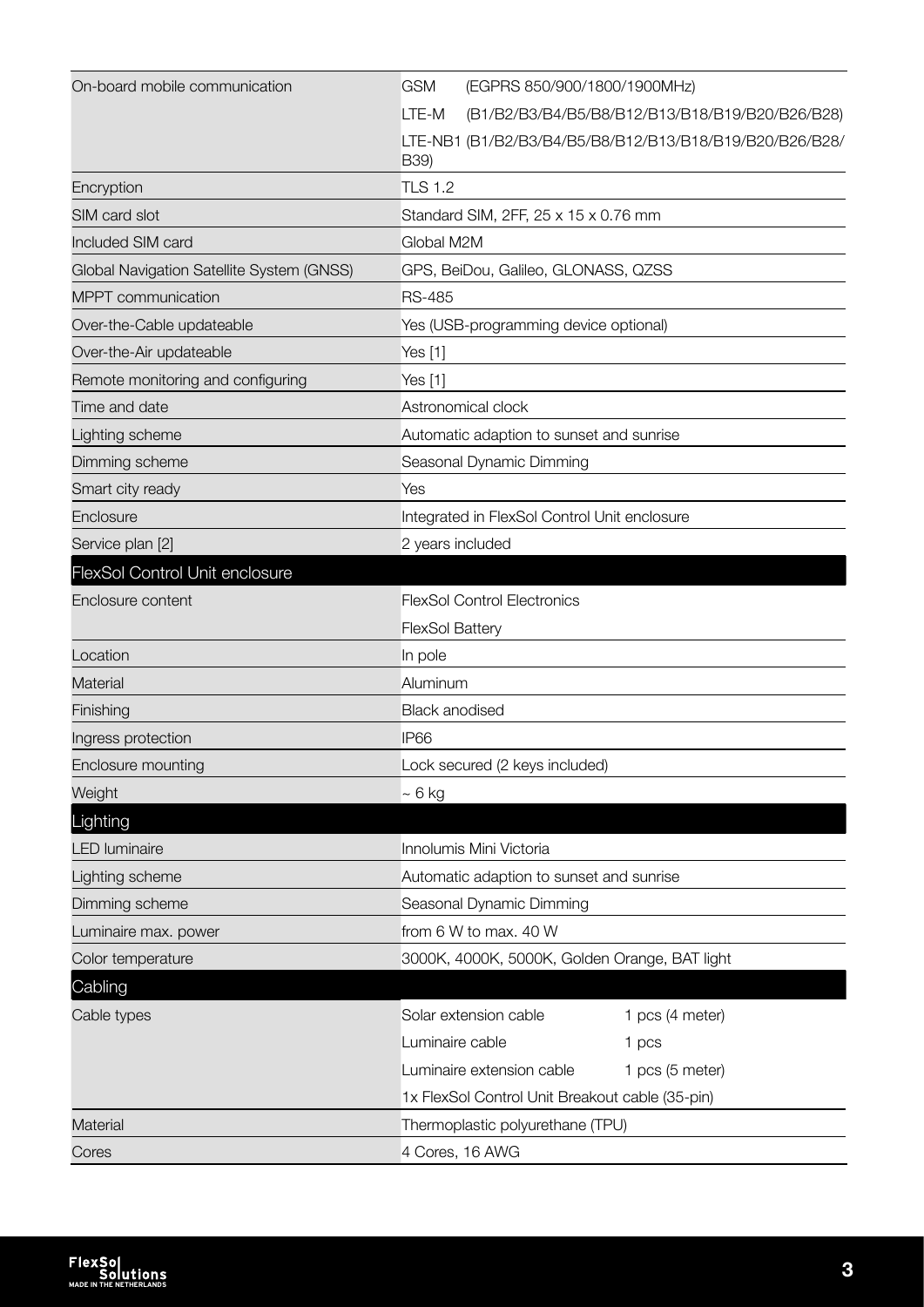| On-board mobile communication             | <b>GSM</b><br>(EGPRS 850/900/1800/1900MHz)                      |
|-------------------------------------------|-----------------------------------------------------------------|
|                                           | LTE-M<br>(B1/B2/B3/B4/B5/B8/B12/B13/B18/B19/B20/B26/B28)        |
|                                           | LTE-NB1 (B1/B2/B3/B4/B5/B8/B12/B13/B18/B19/B20/B26/B28/<br>B39) |
| Encryption                                | <b>TLS 1.2</b>                                                  |
| SIM card slot                             | Standard SIM, 2FF, 25 x 15 x 0.76 mm                            |
| Included SIM card                         | Global M2M                                                      |
| Global Navigation Satellite System (GNSS) | GPS, BeiDou, Galileo, GLONASS, QZSS                             |
| MPPT communication                        | <b>RS-485</b>                                                   |
| Over-the-Cable updateable                 | Yes (USB-programming device optional)                           |
| Over-the-Air updateable                   | Yes [1]                                                         |
| Remote monitoring and configuring         | Yes [1]                                                         |
| Time and date                             | Astronomical clock                                              |
| Lighting scheme                           | Automatic adaption to sunset and sunrise                        |
| Dimming scheme                            | Seasonal Dynamic Dimming                                        |
| Smart city ready                          | Yes                                                             |
| Enclosure                                 | Integrated in FlexSol Control Unit enclosure                    |
| Service plan [2]                          | 2 years included                                                |
| <b>FlexSol Control Unit enclosure</b>     |                                                                 |
| Enclosure content                         | <b>FlexSol Control Electronics</b>                              |
|                                           | <b>FlexSol Battery</b>                                          |
| Location                                  | In pole                                                         |
| <b>Material</b>                           | Aluminum                                                        |
| Finishing                                 | <b>Black anodised</b>                                           |
| Ingress protection                        | IP <sub>66</sub>                                                |
| Enclosure mounting                        | Lock secured (2 keys included)                                  |
| Weight                                    | $~\sim 6$ kg                                                    |
| Lighting                                  |                                                                 |
| <b>LED</b> luminaire                      | Innolumis Mini Victoria                                         |
| Lighting scheme                           | Automatic adaption to sunset and sunrise                        |
| Dimming scheme                            | Seasonal Dynamic Dimming                                        |
| Luminaire max. power                      | from 6 W to max. 40 W                                           |
| Color temperature                         | 3000K, 4000K, 5000K, Golden Orange, BAT light                   |
| Cabling                                   |                                                                 |
| Cable types                               | Solar extension cable<br>1 pcs (4 meter)                        |
|                                           | Luminaire cable<br>1 pcs                                        |
|                                           | Luminaire extension cable<br>1 pcs (5 meter)                    |
|                                           | 1x FlexSol Control Unit Breakout cable (35-pin)                 |
| Material                                  | Thermoplastic polyurethane (TPU)                                |
| Cores                                     | 4 Cores, 16 AWG                                                 |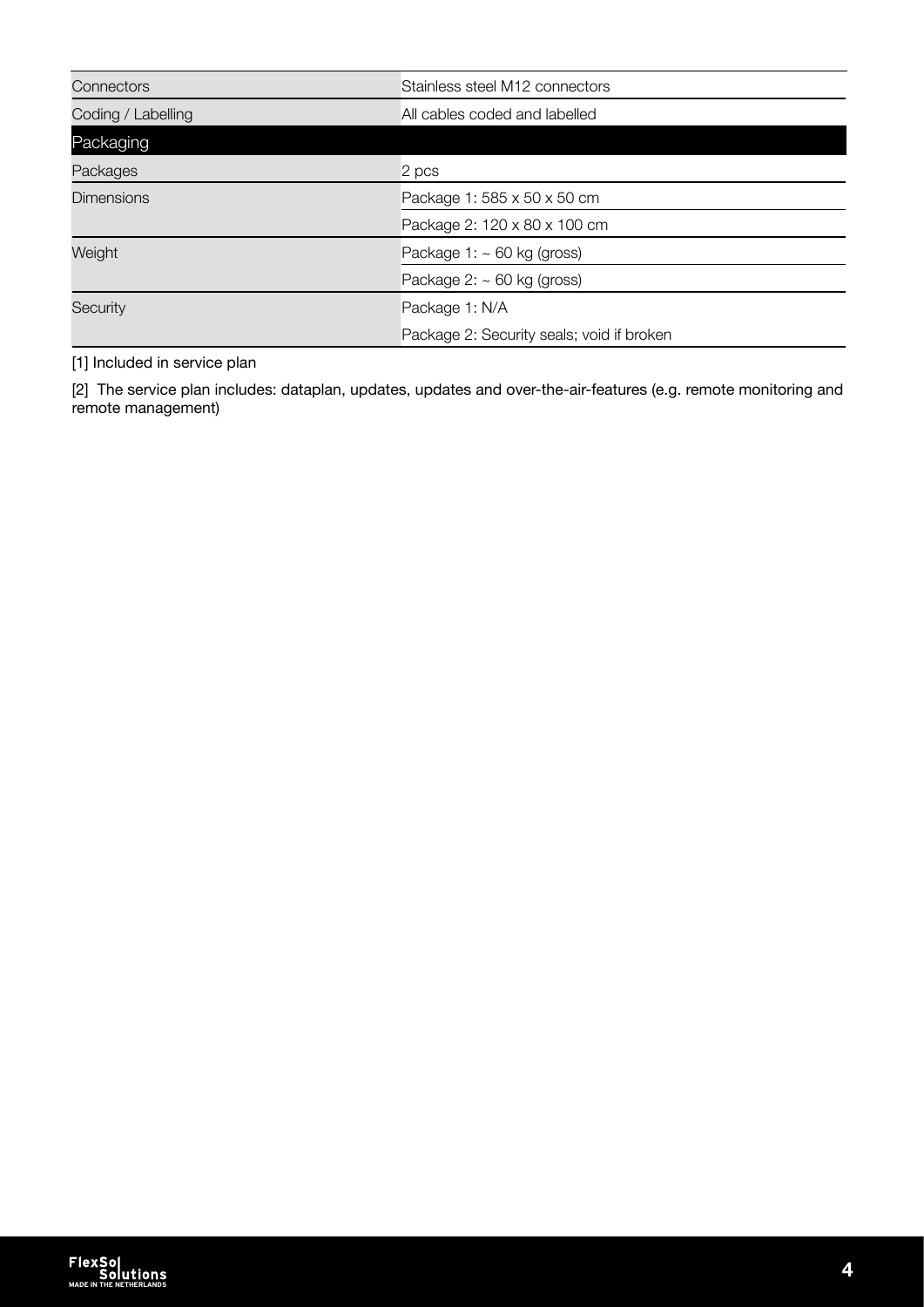| Connectors         | Stainless steel M12 connectors            |
|--------------------|-------------------------------------------|
| Coding / Labelling | All cables coded and labelled             |
| Packaging          |                                           |
| Packages           | 2 pcs                                     |
| <b>Dimensions</b>  | Package 1: 585 x 50 x 50 cm               |
|                    | Package 2: 120 x 80 x 100 cm              |
| Weight             | Package $1: \sim 60$ kg (gross)           |
|                    | Package $2: \sim 60$ kg (gross)           |
| <b>Security</b>    | Package 1: N/A                            |
|                    | Package 2: Security seals; void if broken |

[1] Included in service plan

[2] The service plan includes: dataplan, updates, updates and over-the-air-features (e.g. remote monitoring and remote management)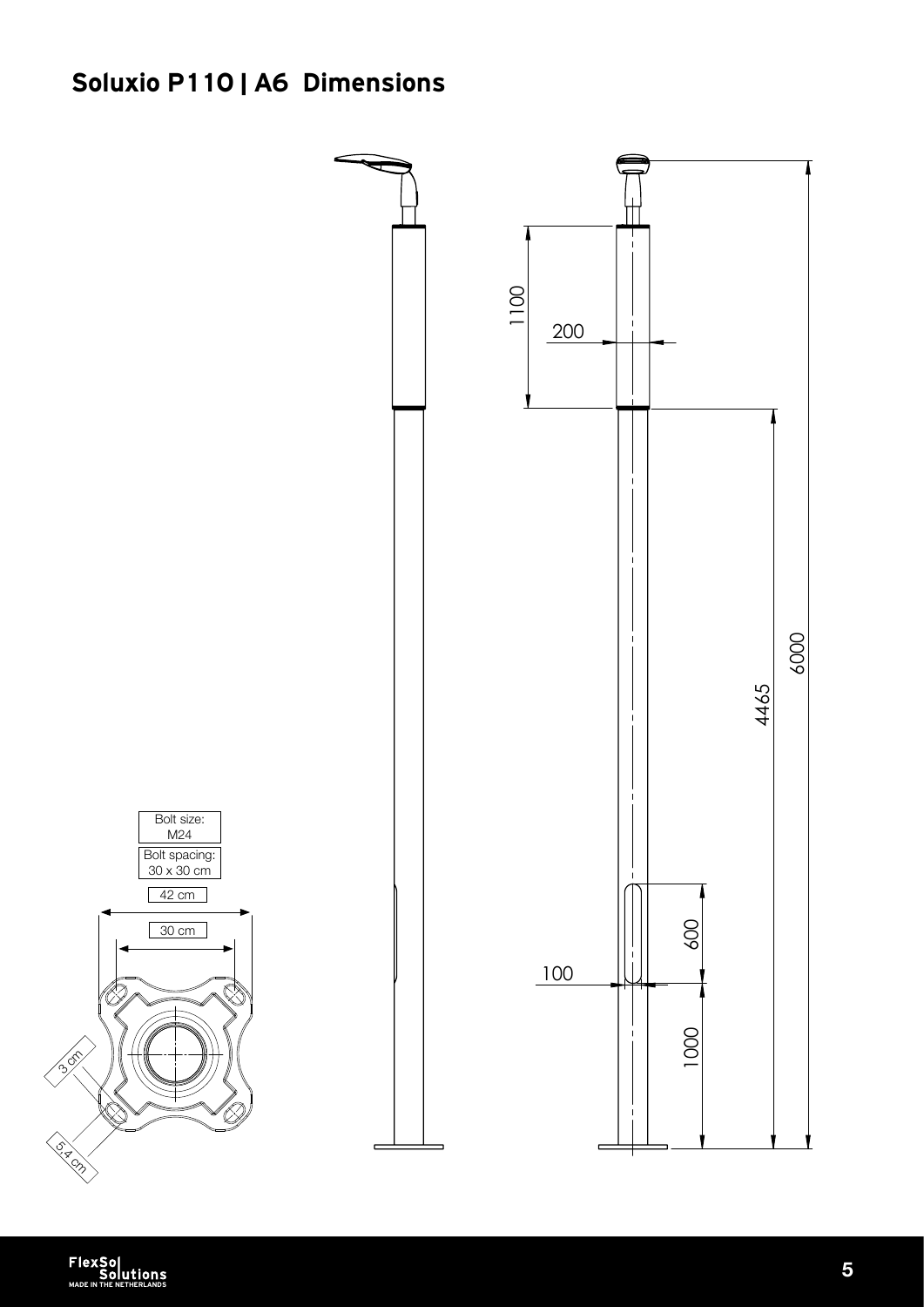## Soluxio P110 | A6 Dimensions

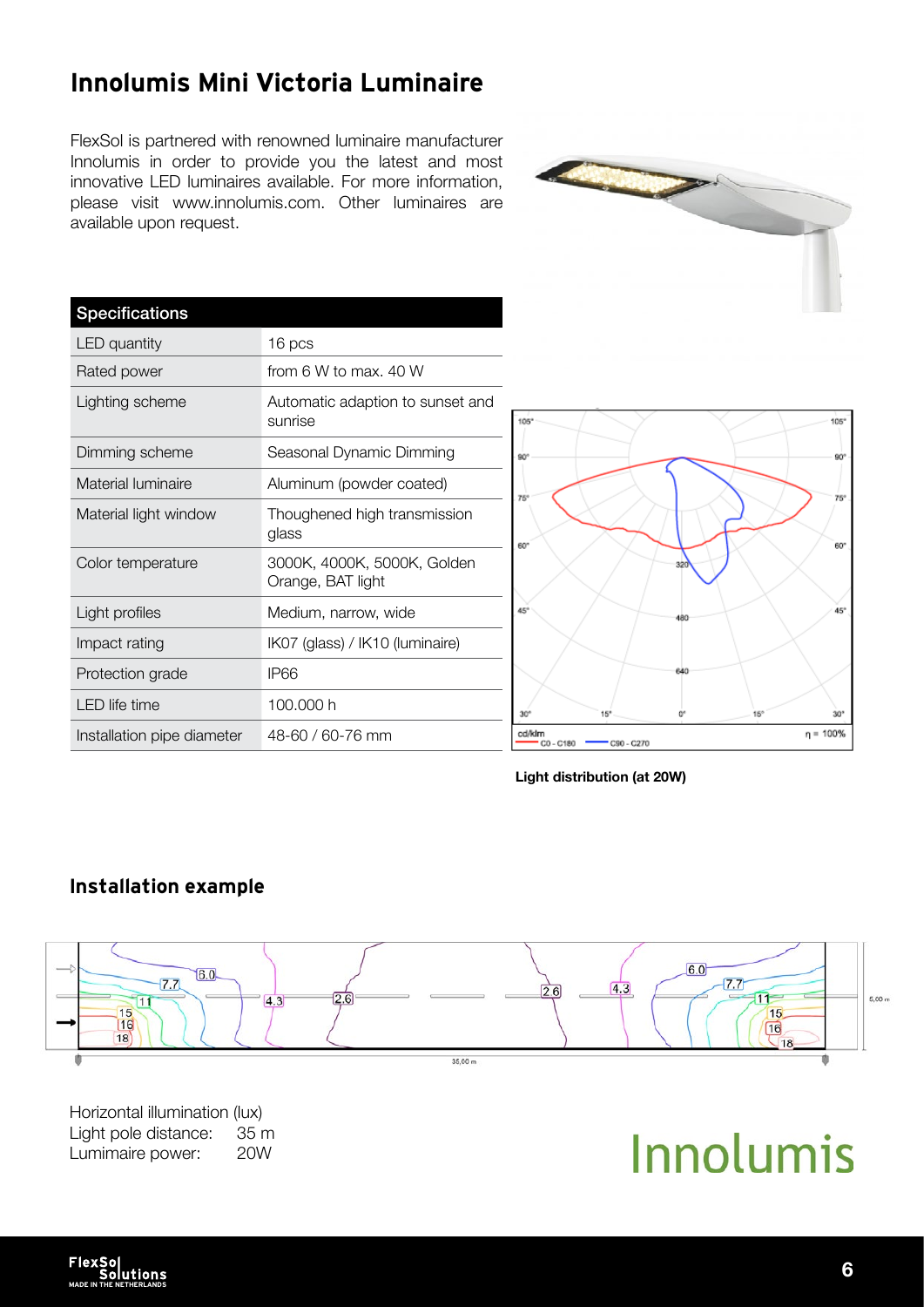## Innolumis Mini Victoria Luminaire

FlexSol is partnered with renowned luminaire manufacturer Innolumis in order to provide you the latest and most innovative LED luminaires available. For more information, please visit www.innolumis.com. Other luminaires are available upon request.

| <b>Specifications</b>      |                                                  |
|----------------------------|--------------------------------------------------|
| <b>LED</b> quantity        | 16 pcs                                           |
| Rated power                | from 6 W to max. 40 W                            |
| Lighting scheme            | Automatic adaption to sunset and<br>sunrise      |
| Dimming scheme             | Seasonal Dynamic Dimming                         |
| Material luminaire         | Aluminum (powder coated)                         |
| Material light window      | Thoughened high transmission<br>glass            |
| Color temperature          | 3000K, 4000K, 5000K, Golden<br>Orange, BAT light |
| Light profiles             | Medium, narrow, wide                             |
| Impact rating              | IK07 (glass) / IK10 (luminaire)                  |
| Protection grade           | IP66                                             |
| <b>LED</b> life time       | 100.000 h                                        |
| Installation pipe diameter | 48-60 / 60-76 mm                                 |
|                            |                                                  |





### Installation example



Horizontal illumination (lux) Light pole distance: 35 m Lumimaire power: 20W

Innolumis